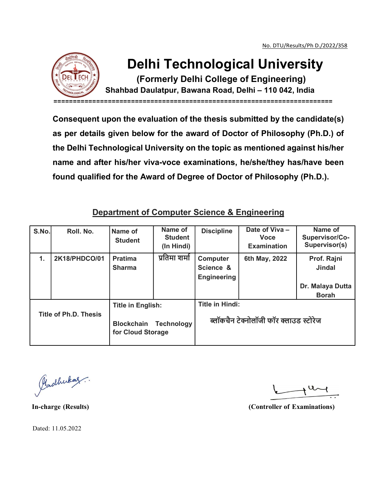

## Delhi Technological University

(Formerly Delhi College of Engineering)

Shahbad Daulatpur, Bawana Road, Delhi – 110 042, India

========================================================================

Consequent upon the evaluation of the thesis submitted by the candidate(s) as per details given below for the award of Doctor of Philosophy (Ph.D.) of the Delhi Technological University on the topic as mentioned against his/her name and after his/her viva-voce examinations, he/she/they has/have been found qualified for the Award of Degree of Doctor of Philosophy (Ph.D.).

## Department of Computer Science & Engineering

| S.No.                 | Roll. No.     | Name of<br><b>Student</b>                                                               | Name of<br><b>Student</b><br>(In Hindi) | <b>Discipline</b>                                                | Date of Viva-<br><b>Voce</b><br><b>Examination</b> | Name of<br>Supervisor/Co-<br>Supervisor(s)                       |
|-----------------------|---------------|-----------------------------------------------------------------------------------------|-----------------------------------------|------------------------------------------------------------------|----------------------------------------------------|------------------------------------------------------------------|
| 1.                    | 2K18/PHDCO/01 | <b>Pratima</b><br><b>Sharma</b>                                                         | प्रतिमा शर्मा                           | <b>Computer</b><br>Science &<br>Engineering                      | 6th May, 2022                                      | Prof. Rajni<br><b>Jindal</b><br>Dr. Malaya Dutta<br><b>Borah</b> |
| Title of Ph.D. Thesis |               | <b>Title in English:</b><br><b>Technology</b><br><b>Blockchain</b><br>for Cloud Storage |                                         | <b>Title in Hindi:</b><br>ब्लॉकचैन टेक्नोलॉजी फॉर क्लाउड स्टोरेज |                                                    |                                                                  |

Pladhukaz.

In-charge (Results) (Controller of Examinations)

Dated: 11.05.2022